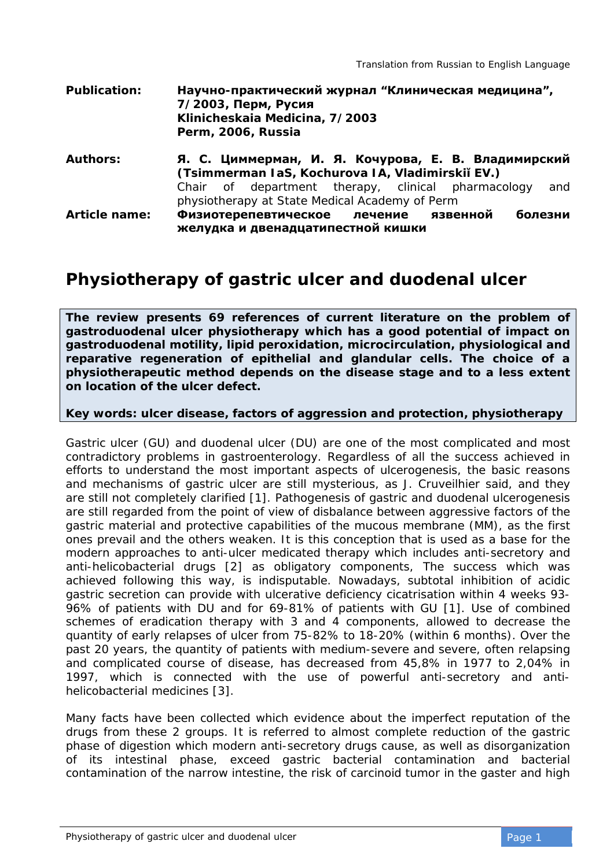| <b>Publication:</b>  | Научно-практический журнал "Клиническая медицина",<br>7/2003, Перм, Русия<br>Klinicheskaia Medicina, 7/2003<br>Perm, 2006, Russia |
|----------------------|-----------------------------------------------------------------------------------------------------------------------------------|
| <b>Authors:</b>      | Я. С. Циммерман, И. Я. Кочурова, Е. В. Владимирский<br>(Tsimmerman IaS, Kochurova IA, Vladimirski EV.)                            |
|                      | Chair of department therapy, clinical pharmacology<br>and<br>physiotherapy at State Medical Academy of Perm                       |
| <b>Article name:</b> | болезни<br>Физиотерепевтическое лечение язвенной<br>желудка и двенадцатипестной кишки                                             |

## **Physiotherapy of gastric ulcer and duodenal ulcer**

**The review presents 69 references of current literature on the problem of gastroduodenal ulcer physiotherapy which has a good potential of impact on gastroduodenal motility, lipid peroxidation, microcirculation, physiological and reparative regeneration of epithelial and glandular cells. The choice of a physiotherapeutic method depends on the disease stage and to a less extent on location of the ulcer defect.** 

## **Key words: ulcer disease, factors of aggression and protection, physiotherapy**

Gastric ulcer (GU) and duodenal ulcer (DU) are one of the most complicated and most contradictory problems in gastroenterology. Regardless of all the success achieved in efforts to understand the most important aspects of ulcerogenesis, the basic reasons and mechanisms of gastric ulcer are still mysterious, as J. Cruveilhier said, and they are still not completely clarified [1]. Pathogenesis of gastric and duodenal ulcerogenesis are still regarded from the point of view of disbalance between aggressive factors of the gastric material and protective capabilities of the mucous membrane (MM), as the first ones prevail and the others weaken. It is this conception that is used as a base for the modern approaches to anti-ulcer medicated therapy which includes anti-secretory and anti-helicobacterial drugs [2] as obligatory components, The success which was achieved following this way, is indisputable. Nowadays, subtotal inhibition of acidic gastric secretion can provide with ulcerative deficiency cicatrisation within 4 weeks 93- 96% of patients with DU and for 69-81% of patients with GU [1]. Use of combined schemes of eradication therapy with 3 and 4 components, allowed to decrease the quantity of early relapses of ulcer from 75-82% to 18-20% (within 6 months). Over the past 20 years, the quantity of patients with medium-severe and severe, often relapsing and complicated course of disease, has decreased from 45,8% in 1977 to 2,04% in 1997, which is connected with the use of powerful anti-secretory and antihelicobacterial medicines [3].

Many facts have been collected which evidence about the imperfect reputation of the drugs from these 2 groups. It is referred to almost complete reduction of the gastric phase of digestion which modern anti-secretory drugs cause, as well as disorganization of its intestinal phase, exceed gastric bacterial contamination and bacterial contamination of the narrow intestine, the risk of carcinoid tumor in the gaster and high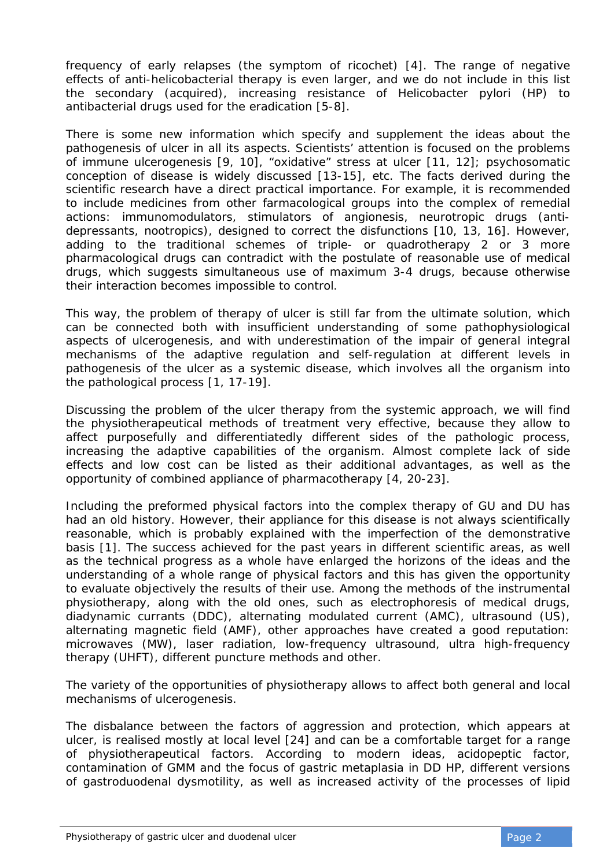frequency of early relapses (the symptom of ricochet) [4]. The range of negative effects of anti-helicobacterial therapy is even larger, and we do not include in this list the secondary (acquired), increasing resistance of Helicobacter pylori (HP) to antibacterial drugs used for the eradication [5-8].

There is some new information which specify and supplement the ideas about the pathogenesis of ulcer in all its aspects. Scientists' attention is focused on the problems of immune ulcerogenesis [9, 10], "oxidative" stress at ulcer [11, 12]; psychosomatic conception of disease is widely discussed [13-15], etc. The facts derived during the scientific research have a direct practical importance. For example, it is recommended to include medicines from other farmacological groups into the complex of remedial actions: immunomodulators, stimulators of angionesis, neurotropic drugs (antidepressants, nootropics), designed to correct the disfunctions [10, 13, 16]. However, adding to the traditional schemes of triple- or quadrotherapy 2 or 3 more pharmacological drugs can contradict with the postulate of reasonable use of medical drugs, which suggests simultaneous use of maximum 3-4 drugs, because otherwise their interaction becomes impossible to control.

This way, the problem of therapy of ulcer is still far from the ultimate solution, which can be connected both with insufficient understanding of some pathophysiological aspects of ulcerogenesis, and with underestimation of the impair of general integral mechanisms of the adaptive regulation and self-regulation at different levels in pathogenesis of the ulcer as a systemic disease, which involves all the organism into the pathological process [1, 17-19].

Discussing the problem of the ulcer therapy from the systemic approach, we will find the physiotherapeutical methods of treatment very effective, because they allow to affect purposefully and differentiatedly different sides of the pathologic process, increasing the adaptive capabilities of the organism. Almost complete lack of side effects and low cost can be listed as their additional advantages, as well as the opportunity of combined appliance of pharmacotherapy [4, 20-23].

Including the preformed physical factors into the complex therapy of GU and DU has had an old history. However, their appliance for this disease is not always scientifically reasonable, which is probably explained with the imperfection of the demonstrative basis [1]. The success achieved for the past years in different scientific areas, as well as the technical progress as a whole have enlarged the horizons of the ideas and the understanding of a whole range of physical factors and this has given the opportunity to evaluate objectively the results of their use. Among the methods of the instrumental physiotherapy, along with the old ones, such as electrophoresis of medical drugs, diadynamic currants (DDC), alternating modulated current (AMC), ultrasound (US), alternating magnetic field (AMF), other approaches have created a good reputation: microwaves (MW), laser radiation, low-frequency ultrasound, ultra high-frequency therapy (UHFT), different puncture methods and other.

The variety of the opportunities of physiotherapy allows to affect both general and local mechanisms of ulcerogenesis.

The disbalance between the factors of aggression and protection, which appears at ulcer, is realised mostly at local level [24] and can be a comfortable target for a range of physiotherapeutical factors. According to modern ideas, acidopeptic factor, contamination of GMM and the focus of gastric metaplasia in DD HP, different versions of gastroduodenal dysmotility, as well as increased activity of the processes of lipid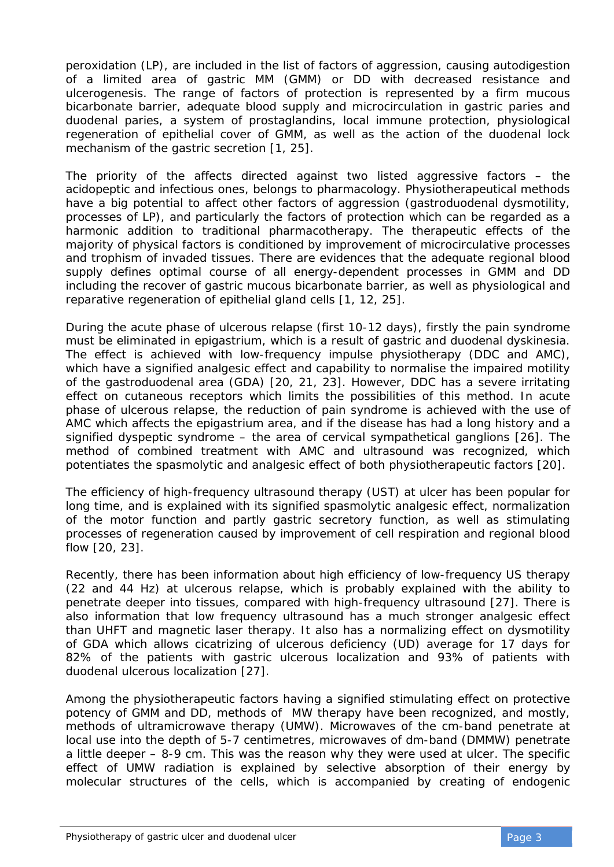peroxidation (LP), are included in the list of factors of aggression, causing autodigestion of a limited area of gastric MM (GMM) or DD with decreased resistance and ulcerogenesis. The range of factors of protection is represented by a firm mucous bicarbonate barrier, adequate blood supply and microcirculation in gastric paries and duodenal paries, a system of prostaglandins, local immune protection, physiological regeneration of epithelial cover of GMM, as well as the action of the duodenal lock mechanism of the gastric secretion [1, 25].

The priority of the affects directed against two listed aggressive factors – the acidopeptic and infectious ones, belongs to pharmacology. Physiotherapeutical methods have a big potential to affect other factors of aggression (gastroduodenal dysmotility, processes of LP), and particularly the factors of protection which can be regarded as a harmonic addition to traditional pharmacotherapy. The therapeutic effects of the majority of physical factors is conditioned by improvement of microcirculative processes and trophism of invaded tissues. There are evidences that the adequate regional blood supply defines optimal course of all energy-dependent processes in GMM and DD including the recover of gastric mucous bicarbonate barrier, as well as physiological and reparative regeneration of epithelial gland cells [1, 12, 25].

During the acute phase of ulcerous relapse (first 10-12 days), firstly the pain syndrome must be eliminated in epigastrium, which is a result of gastric and duodenal dyskinesia. The effect is achieved with low-frequency impulse physiotherapy (DDC and AMC), which have a signified analgesic effect and capability to normalise the impaired motility of the gastroduodenal area (GDA) [20, 21, 23]. However, DDC has a severe irritating effect on cutaneous receptors which limits the possibilities of this method. In acute phase of ulcerous relapse, the reduction of pain syndrome is achieved with the use of AMC which affects the epigastrium area, and if the disease has had a long history and a signified dyspeptic syndrome – the area of cervical sympathetical ganglions [26]. The method of combined treatment with AMC and ultrasound was recognized, which potentiates the spasmolytic and analgesic effect of both physiotherapeutic factors [20].

The efficiency of high-frequency ultrasound therapy (UST) at ulcer has been popular for long time, and is explained with its signified spasmolytic analgesic effect, normalization of the motor function and partly gastric secretory function, as well as stimulating processes of regeneration caused by improvement of cell respiration and regional blood flow [20, 23].

Recently, there has been information about high efficiency of low-frequency US therapy (22 and 44 Hz) at ulcerous relapse, which is probably explained with the ability to penetrate deeper into tissues, compared with high-frequency ultrasound [27]. There is also information that low frequency ultrasound has a much stronger analgesic effect than UHFT and magnetic laser therapy. It also has a normalizing effect on dysmotility of GDA which allows cicatrizing of ulcerous deficiency (UD) average for 17 days for 82% of the patients with gastric ulcerous localization and 93% of patients with duodenal ulcerous localization [27].

Among the physiotherapeutic factors having a signified stimulating effect on protective potency of GMM and DD, methods of MW therapy have been recognized, and mostly, methods of ultramicrowave therapy (UMW). Microwaves of the cm-band penetrate at local use into the depth of 5-7 centimetres, microwaves of dm-band (DMMW) penetrate a little deeper – 8-9 cm. This was the reason why they were used at ulcer. The specific effect of UMW radiation is explained by selective absorption of their energy by molecular structures of the cells, which is accompanied by creating of endogenic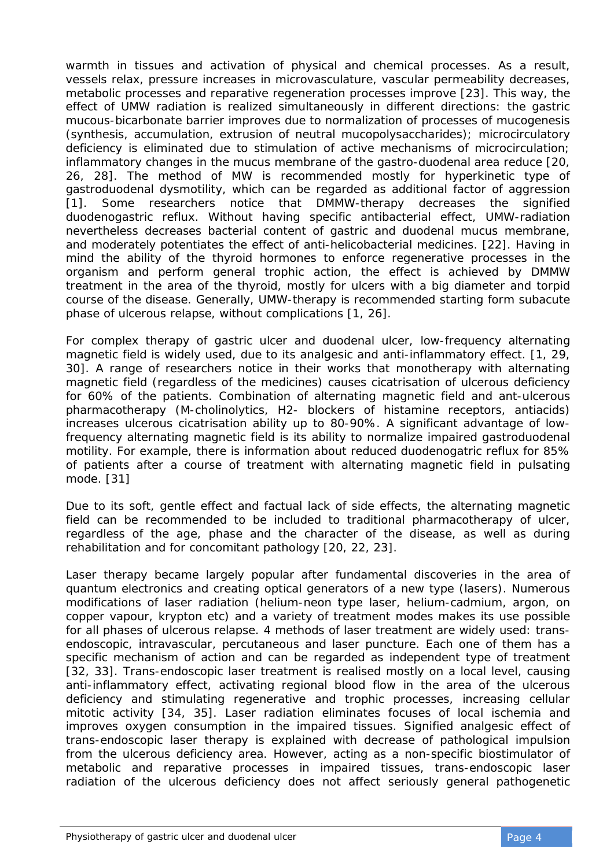warmth in tissues and activation of physical and chemical processes. As a result, vessels relax, pressure increases in microvasculature, vascular permeability decreases, metabolic processes and reparative regeneration processes improve [23]. This way, the effect of UMW radiation is realized simultaneously in different directions: the gastric mucous-bicarbonate barrier improves due to normalization of processes of mucogenesis (synthesis, accumulation, extrusion of neutral mucopolysaccharides); microcirculatory deficiency is eliminated due to stimulation of active mechanisms of microcirculation; inflammatory changes in the mucus membrane of the gastro-duodenal area reduce [20, 26, 28]. The method of MW is recommended mostly for hyperkinetic type of gastroduodenal dysmotility, which can be regarded as additional factor of aggression [1]. Some researchers notice that DMMW-therapy decreases the signified duodenogastric reflux. Without having specific antibacterial effect, UMW-radiation nevertheless decreases bacterial content of gastric and duodenal mucus membrane, and moderately potentiates the effect of anti-helicobacterial medicines. [22]. Having in mind the ability of the thyroid hormones to enforce regenerative processes in the organism and perform general trophic action, the effect is achieved by DMMW treatment in the area of the thyroid, mostly for ulcers with a big diameter and torpid course of the disease. Generally, UMW-therapy is recommended starting form subacute phase of ulcerous relapse, without complications [1, 26].

For complex therapy of gastric ulcer and duodenal ulcer, low-frequency alternating magnetic field is widely used, due to its analgesic and anti-inflammatory effect. [1, 29, 30]. A range of researchers notice in their works that monotherapy with alternating magnetic field (regardless of the medicines) causes cicatrisation of ulcerous deficiency for 60% of the patients. Combination of alternating magnetic field and ant-ulcerous pharmacotherapy (M-cholinolytics, H2- blockers of histamine receptors, antiacids) increases ulcerous cicatrisation ability up to 80-90%. A significant advantage of lowfrequency alternating magnetic field is its ability to normalize impaired gastroduodenal motility. For example, there is information about reduced duodenogatric reflux for 85% of patients after a course of treatment with alternating magnetic field in pulsating mode. [31]

Due to its soft, gentle effect and factual lack of side effects, the alternating magnetic field can be recommended to be included to traditional pharmacotherapy of ulcer, regardless of the age, phase and the character of the disease, as well as during rehabilitation and for concomitant pathology [20, 22, 23].

Laser therapy became largely popular after fundamental discoveries in the area of quantum electronics and creating optical generators of a new type (lasers). Numerous modifications of laser radiation (helium-neon type laser, helium-cadmium, argon, on copper vapour, krypton etc) and a variety of treatment modes makes its use possible for all phases of ulcerous relapse. 4 methods of laser treatment are widely used: transendoscopic, intravascular, percutaneous and laser puncture. Each one of them has a specific mechanism of action and can be regarded as independent type of treatment [32, 33]. Trans-endoscopic laser treatment is realised mostly on a local level, causing anti-inflammatory effect, activating regional blood flow in the area of the ulcerous deficiency and stimulating regenerative and trophic processes, increasing cellular mitotic activity [34, 35]. Laser radiation eliminates focuses of local ischemia and improves oxygen consumption in the impaired tissues. Signified analgesic effect of trans-endoscopic laser therapy is explained with decrease of pathological impulsion from the ulcerous deficiency area. However, acting as a non-specific biostimulator of metabolic and reparative processes in impaired tissues, trans-endoscopic laser radiation of the ulcerous deficiency does not affect seriously general pathogenetic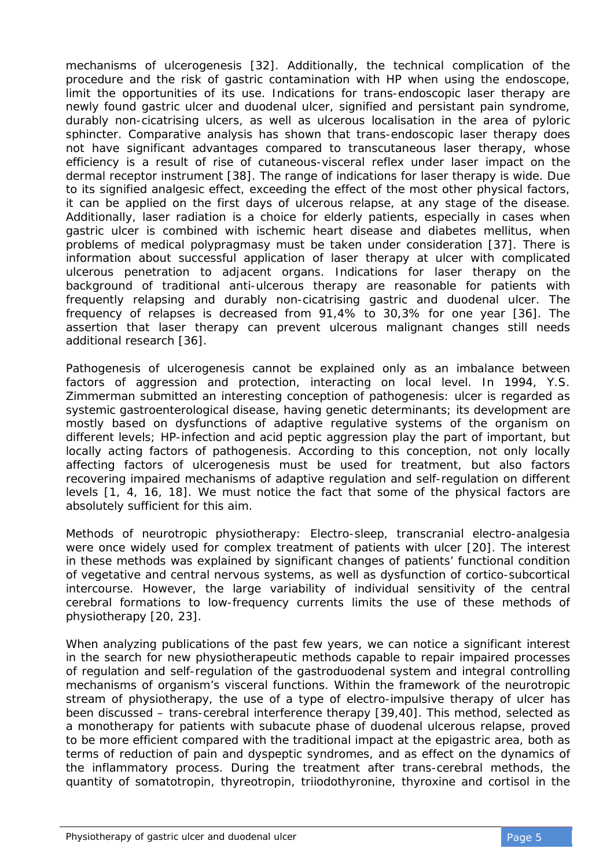mechanisms of ulcerogenesis [32]. Additionally, the technical complication of the procedure and the risk of gastric contamination with HP when using the endoscope, limit the opportunities of its use. Indications for trans-endoscopic laser therapy are newly found gastric ulcer and duodenal ulcer, signified and persistant pain syndrome, durably non-cicatrising ulcers, as well as ulcerous localisation in the area of pyloric sphincter. Comparative analysis has shown that trans-endoscopic laser therapy does not have significant advantages compared to transcutaneous laser therapy, whose efficiency is a result of rise of cutaneous-visceral reflex under laser impact on the dermal receptor instrument [38]. The range of indications for laser therapy is wide. Due to its signified analgesic effect, exceeding the effect of the most other physical factors, it can be applied on the first days of ulcerous relapse, at any stage of the disease. Additionally, laser radiation is a choice for elderly patients, especially in cases when gastric ulcer is combined with ischemic heart disease and diabetes mellitus, when problems of medical polypragmasy must be taken under consideration [37]. There is information about successful application of laser therapy at ulcer with complicated ulcerous penetration to adjacent organs. Indications for laser therapy on the background of traditional anti-ulcerous therapy are reasonable for patients with frequently relapsing and durably non-cicatrising gastric and duodenal ulcer. The frequency of relapses is decreased from 91,4% to 30,3% for one year [36]. The assertion that laser therapy can prevent ulcerous malignant changes still needs additional research [36].

Pathogenesis of ulcerogenesis cannot be explained only as an imbalance between factors of aggression and protection, interacting on local level. In 1994, Y.S. Zimmerman submitted an interesting conception of pathogenesis: ulcer is regarded as systemic gastroenterological disease, having genetic determinants; its development are mostly based on dysfunctions of adaptive regulative systems of the organism on different levels; HP-infection and acid peptic aggression play the part of important, but locally acting factors of pathogenesis. According to this conception, not only locally affecting factors of ulcerogenesis must be used for treatment, but also factors recovering impaired mechanisms of adaptive regulation and self-regulation on different levels [1, 4, 16, 18]. We must notice the fact that some of the physical factors are absolutely sufficient for this aim.

Methods of neurotropic physiotherapy: Electro-sleep, transcranial electro-analgesia were once widely used for complex treatment of patients with ulcer [20]. The interest in these methods was explained by significant changes of patients' functional condition of vegetative and central nervous systems, as well as dysfunction of cortico-subcortical intercourse. However, the large variability of individual sensitivity of the central cerebral formations to low-frequency currents limits the use of these methods of physiotherapy [20, 23].

When analyzing publications of the past few years, we can notice a significant interest in the search for new physiotherapeutic methods capable to repair impaired processes of regulation and self-regulation of the gastroduodenal system and integral controlling mechanisms of organism's visceral functions. Within the framework of the neurotropic stream of physiotherapy, the use of a type of electro-impulsive therapy of ulcer has been discussed – trans-cerebral interference therapy [39,40]. This method, selected as a monotherapy for patients with subacute phase of duodenal ulcerous relapse, proved to be more efficient compared with the traditional impact at the epigastric area, both as terms of reduction of pain and dyspeptic syndromes, and as effect on the dynamics of the inflammatory process. During the treatment after trans-cerebral methods, the quantity of somatotropin, thyreotropin, triiodothyronine, thyroxine and cortisol in the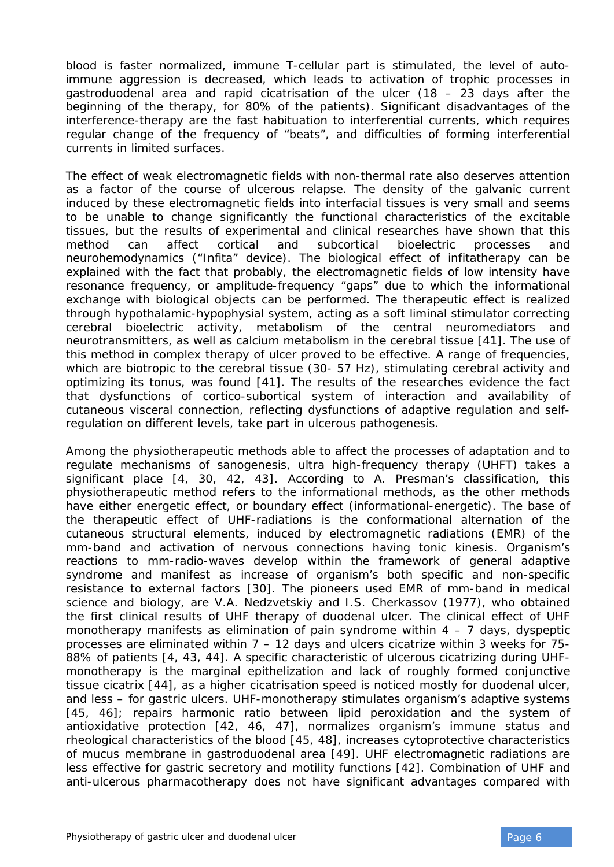blood is faster normalized, immune T-cellular part is stimulated, the level of autoimmune aggression is decreased, which leads to activation of trophic processes in gastroduodenal area and rapid cicatrisation of the ulcer (18 – 23 days after the beginning of the therapy, for 80% of the patients). Significant disadvantages of the interference-therapy are the fast habituation to interferential currents, which requires regular change of the frequency of "beats", and difficulties of forming interferential currents in limited surfaces.

The effect of weak electromagnetic fields with non-thermal rate also deserves attention as a factor of the course of ulcerous relapse. The density of the galvanic current induced by these electromagnetic fields into interfacial tissues is very small and seems to be unable to change significantly the functional characteristics of the excitable tissues, but the results of experimental and clinical researches have shown that this method can affect cortical and subcortical bioelectric processes and neurohemodynamics ("Infita" device). The biological effect of infitatherapy can be explained with the fact that probably, the electromagnetic fields of low intensity have resonance frequency, or amplitude-frequency "gaps" due to which the informational exchange with biological objects can be performed. The therapeutic effect is realized through hypothalamic-hypophysial system, acting as a soft liminal stimulator correcting cerebral bioelectric activity, metabolism of the central neuromediators and neurotransmitters, as well as calcium metabolism in the cerebral tissue [41]. The use of this method in complex therapy of ulcer proved to be effective. A range of frequencies, which are biotropic to the cerebral tissue (30- 57 Hz), stimulating cerebral activity and optimizing its tonus, was found [41]. The results of the researches evidence the fact that dysfunctions of cortico-subortical system of interaction and availability of cutaneous visceral connection, reflecting dysfunctions of adaptive regulation and selfregulation on different levels, take part in ulcerous pathogenesis.

Among the physiotherapeutic methods able to affect the processes of adaptation and to regulate mechanisms of sanogenesis, ultra high-frequency therapy (UHFT) takes a significant place [4, 30, 42, 43]. According to A. Presman's classification, this physiotherapeutic method refers to the informational methods, as the other methods have either energetic effect, or boundary effect (informational-energetic). The base of the therapeutic effect of UHF-radiations is the conformational alternation of the cutaneous structural elements, induced by electromagnetic radiations (EMR) of the mm-band and activation of nervous connections having tonic kinesis. Organism's reactions to mm-radio-waves develop within the framework of general adaptive syndrome and manifest as increase of organism's both specific and non-specific resistance to external factors [30]. The pioneers used EMR of mm-band in medical science and biology, are V.A. Nedzvetskiy and I.S. Cherkassov (1977), who obtained the first clinical results of UHF therapy of duodenal ulcer. The clinical effect of UHF monotherapy manifests as elimination of pain syndrome within  $4 - 7$  days, dyspeptic processes are eliminated within  $7 - 12$  days and ulcers cicatrize within 3 weeks for  $75$ -88% of patients [4, 43, 44]. A specific characteristic of ulcerous cicatrizing during UHFmonotherapy is the marginal epithelization and lack of roughly formed conjunctive tissue cicatrix [44], as a higher cicatrisation speed is noticed mostly for duodenal ulcer, and less – for gastric ulcers. UHF-monotherapy stimulates organism's adaptive systems [45, 46]; repairs harmonic ratio between lipid peroxidation and the system of antioxidative protection [42, 46, 47], normalizes organism's immune status and rheological characteristics of the blood [45, 48], increases cytoprotective characteristics of mucus membrane in gastroduodenal area [49]. UHF electromagnetic radiations are less effective for gastric secretory and motility functions [42]. Combination of UHF and anti-ulcerous pharmacotherapy does not have significant advantages compared with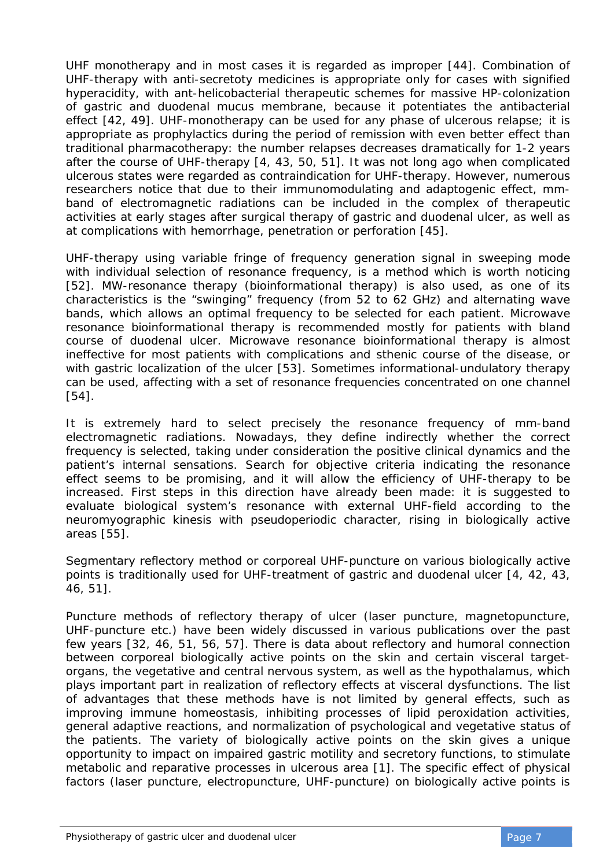UHF monotherapy and in most cases it is regarded as improper [44]. Combination of UHF-therapy with anti-secretoty medicines is appropriate only for cases with signified hyperacidity, with ant-helicobacterial therapeutic schemes for massive HP-colonization of gastric and duodenal mucus membrane, because it potentiates the antibacterial effect [42, 49]. UHF-monotherapy can be used for any phase of ulcerous relapse; it is appropriate as prophylactics during the period of remission with even better effect than traditional pharmacotherapy: the number relapses decreases dramatically for 1-2 years after the course of UHF-therapy [4, 43, 50, 51]. It was not long ago when complicated ulcerous states were regarded as contraindication for UHF-therapy. However, numerous researchers notice that due to their immunomodulating and adaptogenic effect, mmband of electromagnetic radiations can be included in the complex of therapeutic activities at early stages after surgical therapy of gastric and duodenal ulcer, as well as at complications with hemorrhage, penetration or perforation [45].

UHF-therapy using variable fringe of frequency generation signal in sweeping mode with individual selection of resonance frequency, is a method which is worth noticing [52]. MW-resonance therapy (bioinformational therapy) is also used, as one of its characteristics is the "swinging" frequency (from 52 to 62 GHz) and alternating wave bands, which allows an optimal frequency to be selected for each patient. Microwave resonance bioinformational therapy is recommended mostly for patients with bland course of duodenal ulcer. Microwave resonance bioinformational therapy is almost ineffective for most patients with complications and sthenic course of the disease, or with gastric localization of the ulcer [53]. Sometimes informational-undulatory therapy can be used, affecting with a set of resonance frequencies concentrated on one channel [54].

It is extremely hard to select precisely the resonance frequency of mm-band electromagnetic radiations. Nowadays, they define indirectly whether the correct frequency is selected, taking under consideration the positive clinical dynamics and the patient's internal sensations. Search for objective criteria indicating the resonance effect seems to be promising, and it will allow the efficiency of UHF-therapy to be increased. First steps in this direction have already been made: it is suggested to evaluate biological system's resonance with external UHF-field according to the neuromyographic kinesis with pseudoperiodic character, rising in biologically active areas [55].

Segmentary reflectory method or corporеal UHF-puncture on various biologically active points is traditionally used for UHF-treatment of gastric and duodenal ulcer [4, 42, 43, 46, 51].

Puncture methods of reflectory therapy of ulcer (laser puncture, magnetopuncture, UHF-puncture etc.) have been widely discussed in various publications over the past few years [32, 46, 51, 56, 57]. There is data about reflectory and humoral connection between corporеal biologically active points on the skin and certain visceral targetorgans, the vegetative and central nervous system, as well as the hypothalamus, which plays important part in realization of reflectory effects at visceral dysfunctions. The list of advantages that these methods have is not limited by general effects, such as improving immune homeostasis, inhibiting processes of lipid peroxidation activities, general adaptive reactions, and normalization of psychological and vegetative status of the patients. The variety of biologically active points on the skin gives a unique opportunity to impact on impaired gastric motility and secretory functions, to stimulate metabolic and reparative processes in ulcerous area [1]. The specific effect of physical factors (laser puncture, electropuncture, UHF-puncture) on biologically active points is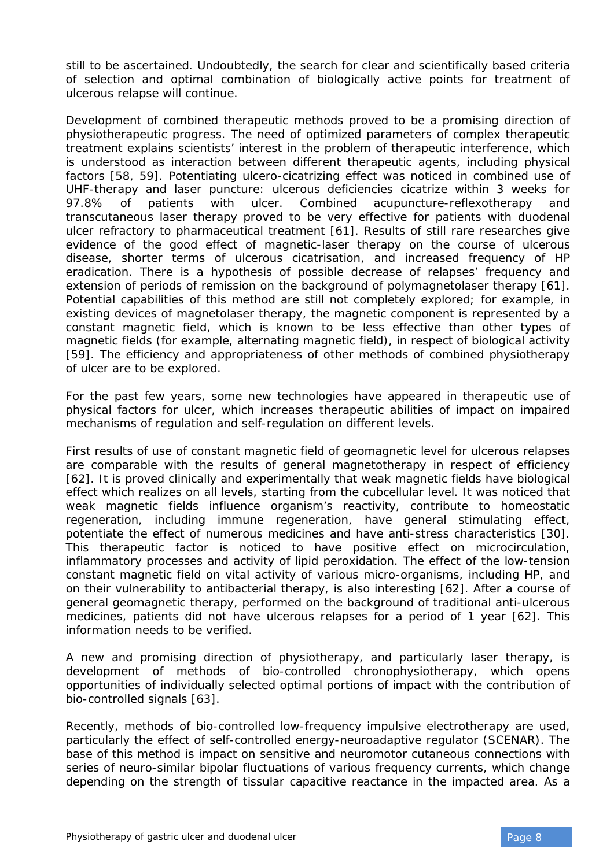still to be ascertained. Undoubtedly, the search for clear and scientifically based criteria of selection and optimal combination of biologically active points for treatment of ulcerous relapse will continue.

Development of combined therapeutic methods proved to be a promising direction of physiotherapeutic progress. The need of optimized parameters of complex therapeutic treatment explains scientists' interest in the problem of therapeutic interference, which is understood as interaction between different therapeutic agents, including physical factors [58, 59]. Potentiating ulcero-cicatrizing effect was noticed in combined use of UHF-therapy and laser puncture: ulcerous deficiencies cicatrize within 3 weeks for 97.8% of patients with ulcer. Combined acupuncture-reflexotherapy and transcutaneous laser therapy proved to be very effective for patients with duodenal ulcer refractory to pharmaceutical treatment [61]. Results of still rare researches give evidence of the good effect of magnetic-laser therapy on the course of ulcerous disease, shorter terms of ulcerous cicatrisation, and increased frequency of HP eradication. There is a hypothesis of possible decrease of relapses' frequency and extension of periods of remission on the background of polymagnetolaser therapy [61]. Potential capabilities of this method are still not completely explored; for example, in existing devices of magnetolaser therapy, the magnetic component is represented by a constant magnetic field, which is known to be less effective than other types of magnetic fields (for example, alternating magnetic field), in respect of biological activity [59]. The efficiency and appropriateness of other methods of combined physiotherapy of ulcer are to be explored.

For the past few years, some new technologies have appeared in therapeutic use of physical factors for ulcer, which increases therapeutic abilities of impact on impaired mechanisms of regulation and self-regulation on different levels.

First results of use of constant magnetic field of geomagnetic level for ulcerous relapses are comparable with the results of general magnetotherapy in respect of efficiency [62]. It is proved clinically and experimentally that weak magnetic fields have biological effect which realizes on all levels, starting from the cubcellular level. It was noticed that weak magnetic fields influence organism's reactivity, contribute to homeostatic regeneration, including immune regeneration, have general stimulating effect, potentiate the effect of numerous medicines and have anti-stress characteristics [30]. This therapeutic factor is noticed to have positive effect on microcirculation, inflammatory processes and activity of lipid peroxidation. The effect of the low-tension constant magnetic field on vital activity of various micro-organisms, including HP, and on their vulnerability to antibacterial therapy, is also interesting [62]. After a course of general geomagnetic therapy, performed on the background of traditional anti-ulcerous medicines, patients did not have ulcerous relapses for a period of 1 year [62]. This information needs to be verified.

A new and promising direction of physiotherapy, and particularly laser therapy, is development of methods of bio-controlled chronophysiotherapy, which opens opportunities of individually selected optimal portions of impact with the contribution of bio-controlled signals [63].

Recently, methods of bio-controlled low-frequency impulsive electrotherapy are used, particularly the effect of self-controlled energy-neuroadaptive regulator (SCENAR). The base of this method is impact on sensitive and neuromotor cutaneous connections with series of neuro-similar bipolar fluctuations of various frequency currents, which change depending on the strength of tissular capacitive reactance in the impacted area. As a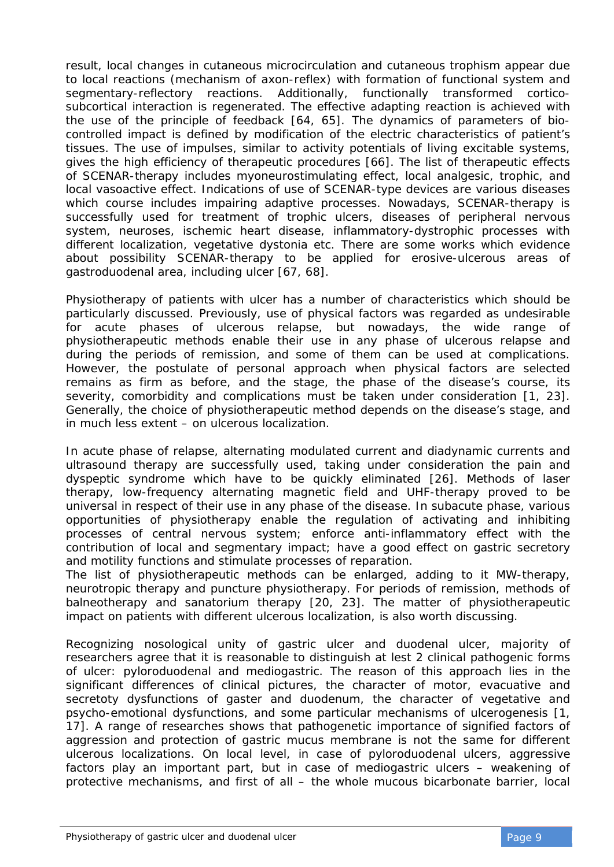result, local changes in cutaneous microcirculation and cutaneous trophism appear due to local reactions (mechanism of axon-reflex) with formation of functional system and segmentary-reflectory reactions. Additionally, functionally transformed corticosubcortical interaction is regenerated. The effective adapting reaction is achieved with the use of the principle of feedback [64, 65]. The dynamics of parameters of biocontrolled impact is defined by modification of the electric characteristics of patient's tissues. The use of impulses, similar to activity potentials of living excitable systems, gives the high efficiency of therapeutic procedures [66]. The list of therapeutic effects of SCENAR-therapy includes myoneurostimulating effect, local analgesic, trophic, and local vasoactive effect. Indications of use of SCENAR-type devices are various diseases which course includes impairing adaptive processes. Nowadays, SCENAR-therapy is successfully used for treatment of trophic ulcers, diseases of peripheral nervous system, neuroses, ischemic heart disease, inflammatory-dystrophic processes with different localization, vegetative dystonia etc. There are some works which evidence about possibility SCENAR-therapy to be applied for erosive-ulcerous areas of gastroduodenal area, including ulcer [67, 68].

Physiotherapy of patients with ulcer has a number of characteristics which should be particularly discussed. Previously, use of physical factors was regarded as undesirable for acute phases of ulcerous relapse, but nowadays, the wide range of physiotherapeutic methods enable their use in any phase of ulcerous relapse and during the periods of remission, and some of them can be used at complications. However, the postulate of personal approach when physical factors are selected remains as firm as before, and the stage, the phase of the disease's course, its severity, comorbidity and complications must be taken under consideration [1, 23]. Generally, the choice of physiotherapeutic method depends on the disease's stage, and in much less extent – on ulcerous localization.

In acute phase of relapse, alternating modulated current and diadynamic currents and ultrasound therapy are successfully used, taking under consideration the pain and dyspeptic syndrome which have to be quickly eliminated [26]. Methods of laser therapy, low-frequency alternating magnetic field and UHF-therapy proved to be universal in respect of their use in any phase of the disease. In subacute phase, various opportunities of physiotherapy enable the regulation of activating and inhibiting processes of central nervous system; enforce anti-inflammatory effect with the contribution of local and segmentary impact; have a good effect on gastric secretory and motility functions and stimulate processes of reparation.

The list of physiotherapeutic methods can be enlarged, adding to it MW-therapy, neurotropic therapy and puncture physiotherapy. For periods of remission, methods of balneotherapy and sanatorium therapy [20, 23]. The matter of physiotherapeutic impact on patients with different ulcerous localization, is also worth discussing.

Recognizing nosological unity of gastric ulcer and duodenal ulcer, majority of researchers agree that it is reasonable to distinguish at lest 2 clinical pathogenic forms of ulcer: pyloroduodenal and mediogastric. The reason of this approach lies in the significant differences of clinical pictures, the character of motor, evacuative and secretoty dysfunctions of gaster and duodenum, the character of vegetative and psycho-emotional dysfunctions, and some particular mechanisms of ulcerogenesis [1, 17]. A range of researches shows that pathogenetic importance of signified factors of aggression and protection of gastric mucus membrane is not the same for different ulcerous localizations. On local level, in case of pyloroduodenal ulcers, aggressive factors play an important part, but in case of mediogastric ulcers – weakening of protective mechanisms, and first of all – the whole mucous bicarbonate barrier, local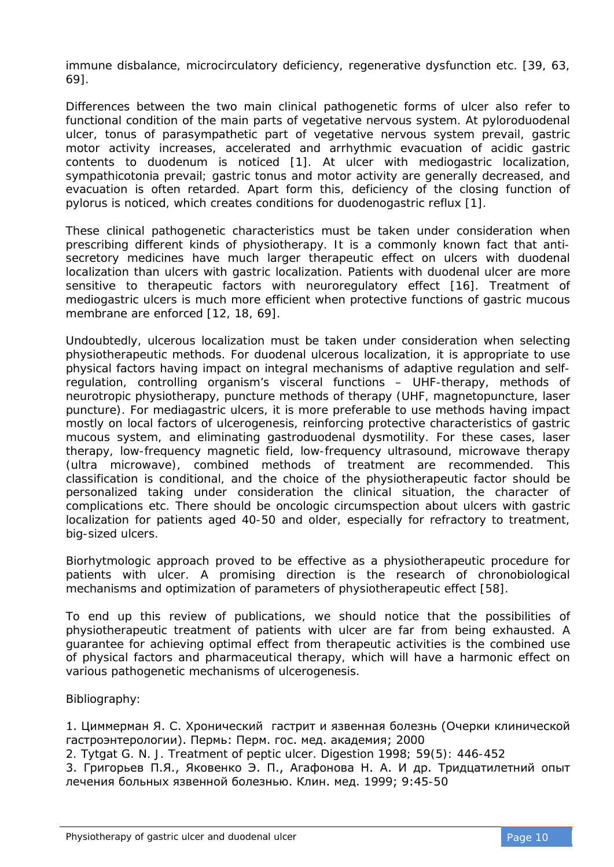immune disbalance, microcirculatory deficiency, regenerative dysfunction etc. [39, 63, 69].

Differences between the two main clinical pathogenetic forms of ulcer also refer to functional condition of the main parts of vegetative nervous system. At pyloroduodenal ulcer, tonus of parasympathetic part of vegetative nervous system prevail, gastric motor activity increases, accelerated and arrhythmic evacuation of acidic gastric contents to duodenum is noticed [1]. At ulcer with mediogastric localization, sympathicotonia prevail; gastric tonus and motor activity are generally decreased, and evacuation is often retarded. Apart form this, deficiency of the closing function of pylorus is noticed, which creates conditions for duodenogastric reflux [1].

These clinical pathogenetic characteristics must be taken under consideration when prescribing different kinds of physiotherapy. It is a commonly known fact that antisecretory medicines have much larger therapeutic effect on ulcers with duodenal localization than ulcers with gastric localization. Patients with duodenal ulcer are more sensitive to therapeutic factors with neuroregulatory effect [16]. Treatment of mediogastric ulcers is much more efficient when protective functions of gastric mucous membrane are enforced [12, 18, 69].

Undoubtedly, ulcerous localization must be taken under consideration when selecting physiotherapeutic methods. For duodenal ulcerous localization, it is appropriate to use physical factors having impact on integral mechanisms of adaptive regulation and selfregulation, controlling organism's visceral functions – UHF-therapy, methods of neurotropic physiotherapy, puncture methods of therapy (UHF, magnetopuncture, laser puncture). For mediagastric ulcers, it is more preferable to use methods having impact mostly on local factors of ulcerogenesis, reinforcing protective characteristics of gastric mucous system, and eliminating gastroduodenal dysmotility. For these cases, laser therapy, low-frequency magnetic field, low-frequency ultrasound, microwave therapy (ultra microwave), combined methods of treatment are recommended. This classification is conditional, and the choice of the physiotherapeutic factor should be personalized taking under consideration the clinical situation, the character of complications etc. There should be oncologic circumspection about ulcers with gastric localization for patients aged 40-50 and older, especially for refractory to treatment, big-sized ulcers.

Biorhytmologic approach proved to be effective as a physiotherapeutic procedure for patients with ulcer. A promising direction is the research of chronobiological mechanisms and optimization of parameters of physiotherapeutic effect [58].

To end up this review of publications, we should notice that the possibilities of physiotherapeutic treatment of patients with ulcer are far from being exhausted. A guarantee for achieving optimal effect from therapeutic activities is the combined use of physical factors and pharmaceutical therapy, which will have a harmonic effect on various pathogenetic mechanisms of ulcerogenesis.

Bibliography:

1. Циммерман Я. С. Хронический гастрит и язвенная болезнь (Очерки клинической гастроэнтерологии). Пермь: Перм. гос. мед. академия; 2000

2. Tytgat G. N. J. Treatment of peptic ulcer. Digestion 1998; 59(5): 446-452

3. Григорьев П.Я., Яковенко Э. П., Агафонова Н. А. И др. Тридцатилетний опыт лечения больных язвенной болезнью. Клин. мед. 1999; 9:45-50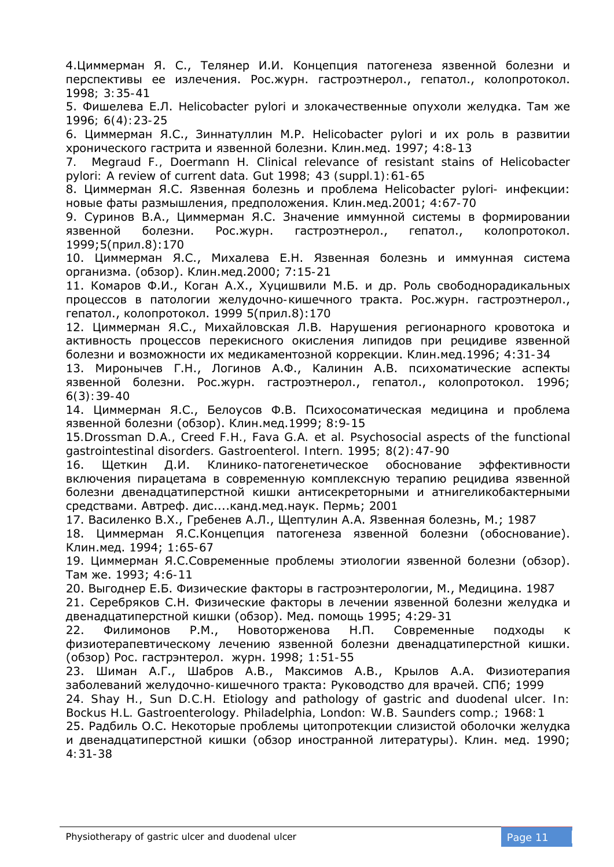4.Циммерман Я. С., Телянер И.И. Концепция патогенеза язвенной болезни и перспективы ее излечения. Рос.журн. гастроэтнерол., гепатол., колопротокол. 1998; 3:35-41

5. Фишелева Е.Л. Helicobacter pylori и злокачественные опухоли желудка. Там же 1996; 6(4):23-25

6. Циммерман Я.С., Зиннатуллин М.Р. Helicobacter pylori и их роль в развитии хронического гастрита и язвенной болезни. Клин.мед. 1997; 4:8-13

7. Megraud F., Doermann H. Clinical relevance of resistant stains of Helicobacter pylori: A review of current data. Gut 1998; 43 (suppl.1):61-65

8. Циммерман Я.С. Язвенная болезнь и проблема Helicobacter pylori- инфекции: новые фаты размышления, предположения. Клин.мед.2001; 4:67-70

9. Суринов В.А., Циммерман Я.С. Значение иммунной системы в формировании язвенной болезни. Рос.журн. гастроэтнерол., гепатол., колопротокол. 1999;5(прил.8):170

10. Циммерман Я.С., Михалева Е.Н. Язвенная болезнь и иммунная система организма. (обзор). Клин.мед.2000; 7:15-21

11. Комаров Ф.И., Коган А.Х., Хуцишвили М.Б. и др. Роль свободнорадикальных процессов в патологии желудочно-кишечного тракта. Рос.журн. гастроэтнерол., гепатол., колопротокол. 1999 5(прил.8):170

12. Циммерман Я.С., Михайловская Л.В. Нарушения регионарного кровотока и активность процессов перекисного окисления липидов при рецидиве язвенной болезни и возможности их медикаментозной коррекции. Клин.мед.1996; 4:31-34

13. Миронычев Г.Н., Логинов А.Ф., Калинин А.В. психоматические аспекты язвенной болезни. Рос.журн. гастроэтнерол., гепатол., колопротокол. 1996; 6(3):39-40

14. Циммерман Я.С., Белоусов Ф.В. Психосоматическая медицина и проблема язвенной болезни (обзор). Клин.мед.1999; 8:9-15

15.Drossman D.A., Creed F.H., Fava G.A. et al. Psychosocial aspects of the functional gastrointestinal disorders. Gastroenterol. Intern. 1995; 8(2):47-90

16. Щеткин Д.И. Клинико-патогенетическое обоснование эффективности включения пирацетама в современную комплексную терапию рецидива язвенной болезни двенадцатиперстной кишки антисекреторными и атнигеликобактерными средствами. Автреф. дис....канд.мед.наук. Пермь; 2001

17. Василенко В.Х., Гребенев А.Л., Щептулин А.А. Язвенная болезнь, М.; 1987

18. Циммерман Я.С.Концепция патогенеза язвенной болезни (обоснование). Клин.мед. 1994; 1:65-67

19. Циммерман Я.С.Современные проблемы этиологии язвенной болезни (обзор). Там же. 1993; 4:6-11

20. Выгоднер Е.Б. Физические факторы в гастроэнтерологии, М., Медицина. 1987

21. Серебряков С.Н. Физические факторы в лечении язвенной болезни желудка и двенадцатиперстной кишки (обзор). Мед. помощь 1995; 4:29-31

22. Филимонов Р.М., Новоторженова Н.П. Современные подходы к физиотерапевтическому лечению язвенной болезни двенадцатиперстной кишки. (обзор) Рос. гастрэнтерол. журн. 1998; 1:51-55

23. Шиман А.Г., Шабров А.В., Максимов А.В., Крылов А.А. Физиотерапия заболеваний желудочно-кишечного тракта: Руководство для врачей. СПб; 1999

24. Shay H., Sun D.C.H. Etiology and pathology of gastric and duodenal ulcer. In: Bockus H.L. Gastroenterology. Philadelphia, London: W.B. Saunders comp.; 1968:1

25. Радбиль О.С. Некоторые проблемы цитопротекции слизистой оболочки желудка и двенадцатиперстной кишки (обзор иностранной литературы). Клин. мед. 1990; 4:31-38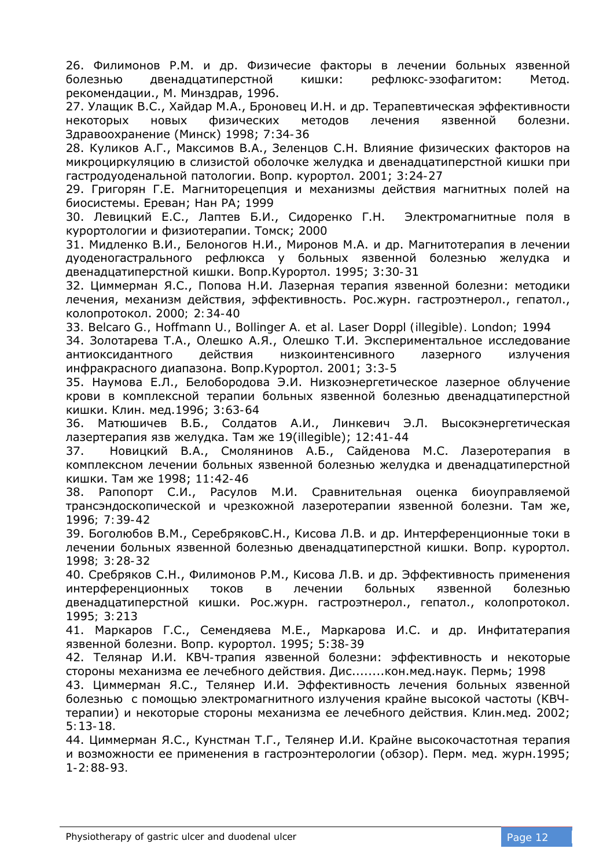26. Филимонов Р.М. и др. Физичесие факторы в лечении больных язвенной болезнью двенадцатиперстной кишки: рефлюкс-эзофагитом: Метод. рекомендации., М. Минздрав, 1996.

27. Улащик В.С., Хайдар М.А., Броновец И.Н. и др. Терапевтическая эффективности некоторых новых физических методов лечения язвенной болезни. Здравоохранение (Минск) 1998; 7:34-36

28. Куликов А.Г., Максимов В.А., Зеленцов С.Н. Влияние физических факторов на микроциркуляцию в слизистой оболочке желудка и двенадцатиперстной кишки при гастродуоденальной патологии. Вопр. курортол. 2001; 3:24-27

29. Григорян Г.Е. Магниторецепция и механизмы действия магнитных полей на биосистемы. Ереван; Нан РА; 1999

30. Левицкий Е.С., Лаптев Б.И., Сидоренко Г.Н. Электромагнитные поля в курортологии и физиотерапии. Томск; 2000

31. Мидленко В.И., Белоногов Н.И., Миронов М.А. и др. Магнитотерапия в лечении дуоденогастрального рефлюкса у больных язвенной болезнью желудка и двенадцатиперстной кишки. Вопр.Курортол. 1995; 3:30-31

32. Циммерман Я.С., Попова Н.И. Лазерная терапия язвенной болезни: методики лечения, механизм действия, эффективность. Рос.журн. гастроэтнерол., гепатол., колопротокол. 2000; 2:34-40

33. Belcaro G., Hoffmann U., Bollinger A. et al. Laser Doppl (illegible). London; 1994

34. Золотарева Т.А., Олешко А.Я., Олешко Т.И. Экспериментальное исследование антиоксидантного действия низкоинтенсивного лазерного излучения инфракрасного диапазона. Вопр.Курортол. 2001; 3:3-5

35. Наумова Е.Л., Белобородова Э.И. Низкоэнергетическое лазерное облучение крови в комплексной терапии больных язвенной болезнью двенадцатиперстной кишки. Клин. мед.1996; 3:63-64

36. Матюшичев В.Б., Солдатов А.И., Линкевич Э.Л. Высокэнергетическая лазертерапия язв желудка. Там же 19(illegible); 12:41-44

37. Новицкий В.А., Смолянинов А.Б., Сайденова М.С. Лазеротерапия в комплексном лечении больных язвенной болезнью желудка и двенадцатиперстной кишки. Там же 1998; 11:42-46

38. Рапопорт С.И., Расулов М.И. Сравнительная оценка биоуправляемой трансэндоскопической и чрезкожной лазеротерапии язвенной болезни. Там же, 1996; 7:39-42

39. Боголюбов В.М., СеребряковС.Н., Кисова Л.В. и др. Интерференционные токи в лечении больных язвенной болезнью двенадцатиперстной кишки. Вопр. курортол. 1998; 3:28-32

40. Сребряков С.Н., Филимонов Р.М., Кисова Л.В. и др. Эффективность применения интерференционных токов в лечении больных язвенной болезнью двенадцатиперстной кишки. Рос.журн. гастроэтнерол., гепатол., колопротокол. 1995; 3:213

41. Маркаров Г.С., Семендяева М.Е., Маркарова И.С. и др. Инфитатерапия язвенной болезни. Вопр. курортол. 1995; 5:38-39

42. Телянар И.И. КВЧ-трапия язвенной болезни: эффективность и некоторые стороны механизма ее лечебного действия. Дис........кон.мед.наук. Пермь; 1998

43. Циммерман Я.С., Телянер И.И. Эффективность лечения больных язвенной болезнью с помощью электромагнитного излучения крайне высокой частоты (КВЧтерапии) и некоторые стороны механизма ее лечебного действия. Клин.мед. 2002; 5:13-18.

44. Циммерман Я.С., Кунстман Т.Г., Телянер И.И. Крайне высокочастотная терапия и возможности ее применения в гастроэнтерологии (обзор). Перм. мед. журн.1995; 1-2:88-93.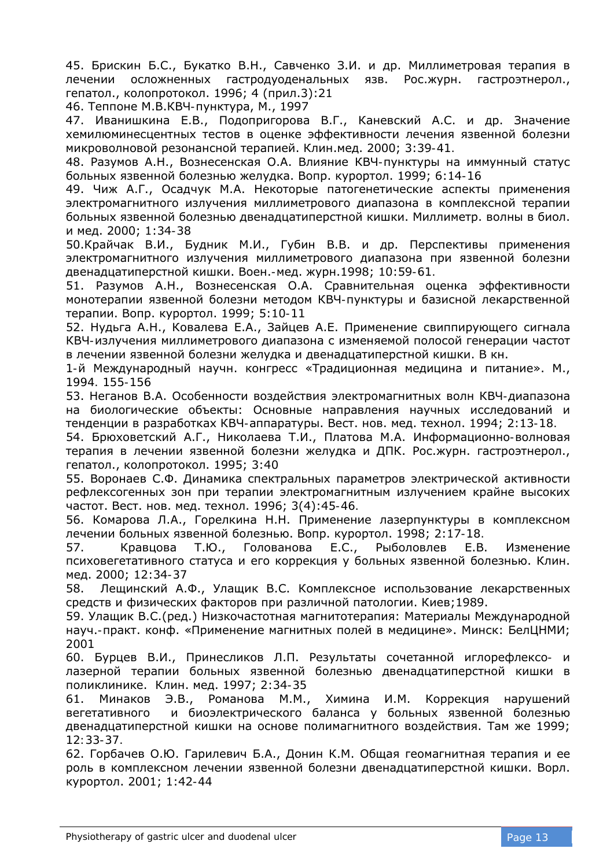45. Брискин Б.С., Букатко В.Н., Савченко З.И. и др. Миллиметровая терапия в лечении осложненных гастродуоденальных язв. Рос.журн. гастроэтнерол., гепатол., колопротокол. 1996; 4 (прил.3):21

46. Теппоне М.В.КВЧ-пунктура, М., 1997

47. Иванишкина Е.В., Подопригорова В.Г., Каневский А.С. и др. Значение хемилюминесцентных тестов в оценке эффективности лечения язвенной болезни микроволновой резонансной терапией. Клин.мед. 2000; 3:39-41.

48. Разумов А.Н., Вознесенская О.А. Влияние КВЧ-пунктуры на иммунный статус больных язвенной болезнью желудка. Вопр. курортол. 1999; 6:14-16

49. Чиж А.Г., Осадчук М.А. Некоторые патогенетические аспекты применения электромагнитного излучения миллиметрового диапазона в комплексной терапии больных язвенной болезнью двенадцатиперстной кишки. Миллиметр. волны в биол. и мед. 2000; 1:34-38

50.Крайчак В.И., Будник М.И., Губин В.В. и др. Перспективы применения электромагнитного излучения миллиметрового диапазона при язвенной болезни двенадцатиперстной кишки. Воен.-мед. журн.1998; 10:59-61.

51. Разумов А.Н., Вознесенская О.А. Сравнительная оценка эффективности монотерапии язвенной болезни методом КВЧ-пунктуры и базисной лекарственной терапии. Вопр. курортол. 1999; 5:10-11

52. Нудьга А.Н., Ковалева Е.А., Зайцев А.Е. Применение свиппирующего сигнала КВЧ-излучения миллиметрового диапазона с изменяемой полосой генерации частот в лечении язвенной болезни желудка и двенадцатиперстной кишки. В кн.

1-й Международный научн. конгресс «Традиционная медицина и питание». М., 1994. 155-156

53. Неганов В.А. Особенности воздействия электромагнитных волн КВЧ-диапазона на биологические объекты: Основные направления научных исследований и тенденции в разработках КВЧ-аппаратуры. Вест. нов. мед. технол. 1994; 2:13-18.

54. Брюховетский А.Г., Николаева Т.И., Платова М.А. Информационно-волновая терапия в лечении язвенной болезни желудка и ДПК. Рос.журн. гастроэтнерол., гепатол., колопротокол. 1995; 3:40

55. Воронаев С.Ф. Динамика спектральных параметров электрической активности рефлексогенных зон при терапии электромагнитным излучением крайне высоких частот. Вест. нов. мед. технол. 1996; 3(4):45-46.

56. Комарова Л.А., Горелкина Н.Н. Применение лазерпунктуры в комплексном лечении больных язвенной болезнью. Вопр. курортол. 1998; 2:17-18.

57. Кравцова Т.Ю., Голованова Е.С., Рыболовлев Е.В. Изменение психовегетативного статуса и его коррекция у больных язвенной болезнью. Клин. мед. 2000; 12:34-37

58. Лещинский А.Ф., Улащик В.С. Комплексное использование лекарственных средств и физических факторов при различной патологии. Киев;1989.

59. Улащик В.С.(ред.) Низкочастотная магнитотерапия: Материалы Международной науч.-практ. конф. «Применение магнитных полей в медицине». Минск: БелЦНМИ; 2001

60. Бурцев В.И., Принесликов Л.П. Результаты сочетанной иглорефлексо- и лазерной терапии больных язвенной болезнью двенадцатиперстной кишки в поликлинике. Клин. мед. 1997; 2:34-35

61. Минаков Э.В., Романова М.М., Химина И.М. Коррекция нарушений вегетативного и биоэлектрического баланса у больных язвенной болезнью двенадцатиперстной кишки на основе полимагнитного воздействия. Там же 1999; 12:33-37.

62. Горбачев О.Ю. Гарилевич Б.А., Донин К.М. Общая геомагнитная терапия и ее роль в комплексном лечении язвенной болезни двенадцатиперстной кишки. Ворл. курортол. 2001; 1:42-44